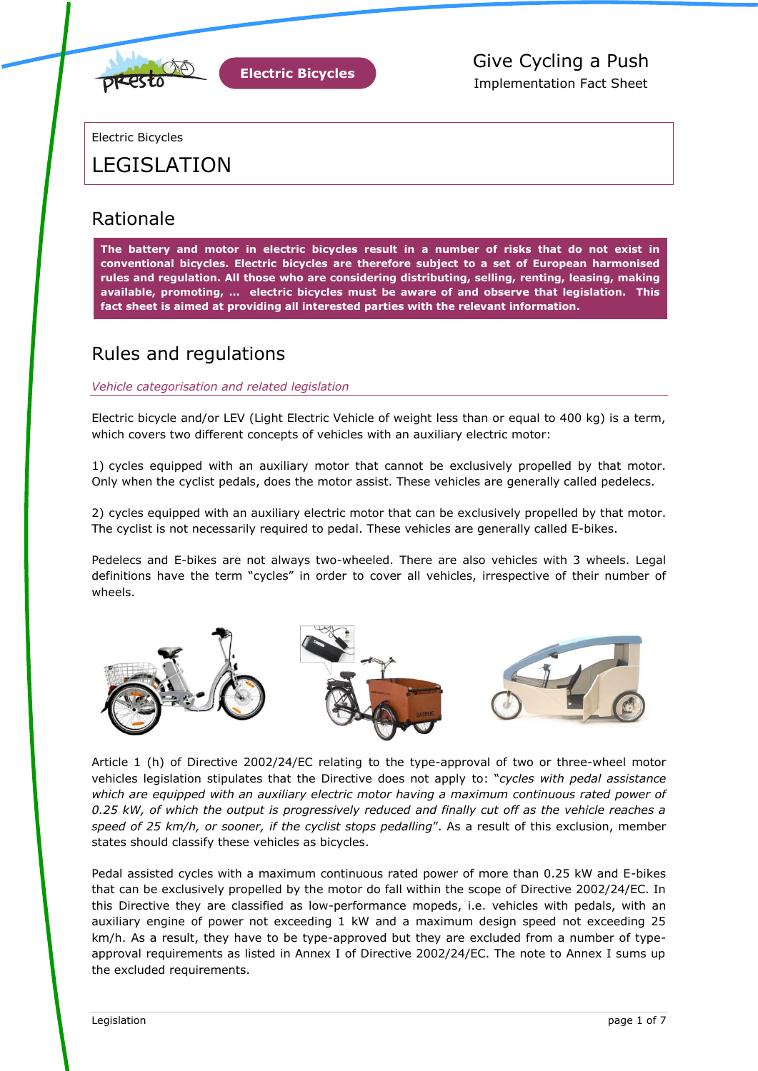

Electric Bicycles

# LEGISLATION

### Rationale

**The battery and motor in electric bicycles result in a number of risks that do not exist in conventional bicycles. Electric bicycles are therefore subject to a set of European harmonised rules and regulation. All those who are considering distributing, selling, renting, leasing, making available, promoting, … electric bicycles must be aware of and observe that legislation. This fact sheet is aimed at providing all interested parties with the relevant information.**

### Rules and regulations

*Vehicle categorisation and related legislation*

Electric bicycle and/or LEV (Light Electric Vehicle of weight less than or equal to 400 kg) is a term, which covers two different concepts of vehicles with an auxiliary electric motor:

1) cycles equipped with an auxiliary motor that cannot be exclusively propelled by that motor. Only when the cyclist pedals, does the motor assist. These vehicles are generally called pedelecs.

2) cycles equipped with an auxiliary electric motor that can be exclusively propelled by that motor. The cyclist is not necessarily required to pedal. These vehicles are generally called E-bikes.

Pedelecs and E-bikes are not always two-wheeled. There are also vehicles with 3 wheels. Legal definitions have the term "cycles" in order to cover all vehicles, irrespective of their number of wheels.



Article 1 (h) of Directive 2002/24/EC relating to the type-approval of two or three-wheel motor vehicles legislation stipulates that the Directive does not apply to: "cycles with pedal assistance *which are equipped with an auxiliary electric motor having a maximum continuous rated power of 0.25 kW, of which the output is progressively reduced and finally cut off as the vehicle reaches a*  speed of 25 km/h, or sooner, if the cyclist stops pedalling". As a result of this exclusion, member states should classify these vehicles as bicycles.

Pedal assisted cycles with a maximum continuous rated power of more than 0.25 kW and E-bikes that can be exclusively propelled by the motor do fall within the scope of Directive 2002/24/EC. In this Directive they are classified as low-performance mopeds, i.e. vehicles with pedals, with an auxiliary engine of power not exceeding 1 kW and a maximum design speed not exceeding 25 km/h. As a result, they have to be type-approved but they are excluded from a number of typeapproval requirements as listed in Annex I of Directive 2002/24/EC. The note to Annex I sums up the excluded requirements.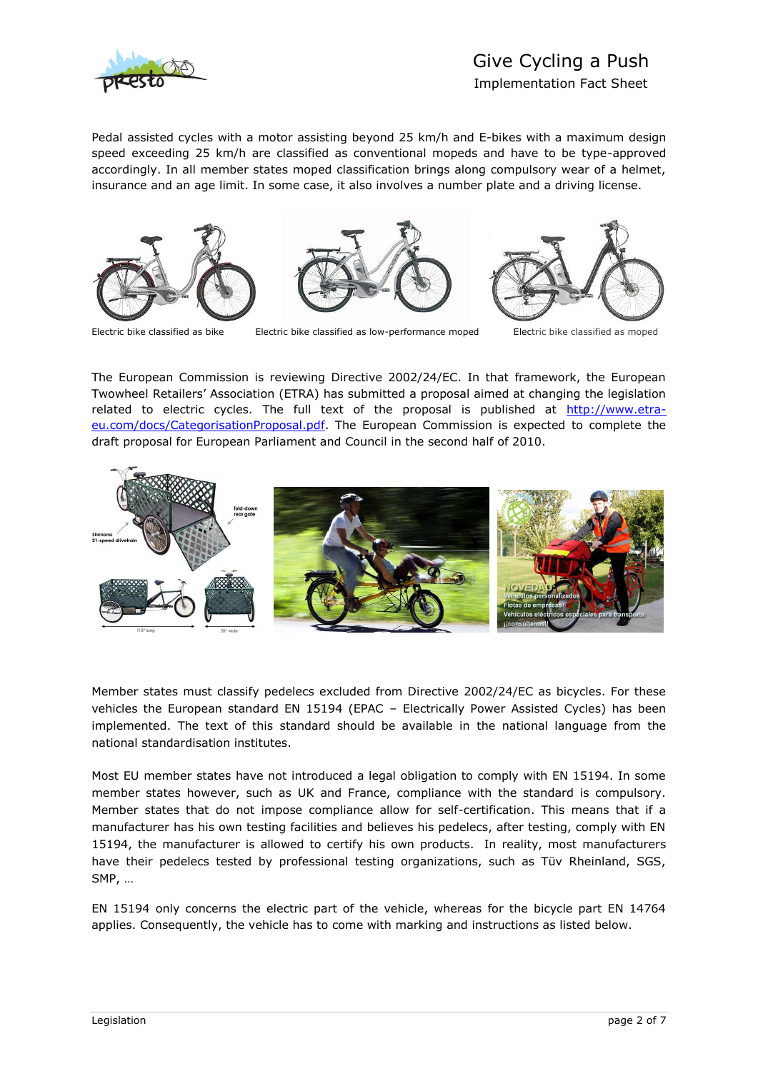

# Give Cycling a Push

Implementation Fact Sheet

Pedal assisted cycles with a motor assisting beyond 25 km/h and E-bikes with a maximum design speed exceeding 25 km/h are classified as conventional mopeds and have to be type-approved accordingly. In all member states moped classification brings along compulsory wear of a helmet, insurance and an age limit. In some case, it also involves a number plate and a driving license.



Electric bike classified as bike Electric bike classified as low-performance moped Electric bike classified as moped

The European Commission is reviewing Directive 2002/24/EC. In that framework, the European Twowheel Retailers' Association (ETRA) has submitted a proposal aimed at changing the legislation related to electric cycles. The full text of the proposal is published at [http://www.etra](http://www.etra-eu.com/docs/CategorisationProposal.pdf)[eu.com/docs/CategorisationProposal.pdf.](http://www.etra-eu.com/docs/CategorisationProposal.pdf) The European Commission is expected to complete the draft proposal for European Parliament and Council in the second half of 2010.



Member states must classify pedelecs excluded from Directive 2002/24/EC as bicycles. For these vehicles the European standard EN 15194 (EPAC – Electrically Power Assisted Cycles) has been implemented. The text of this standard should be available in the national language from the national standardisation institutes.

Most EU member states have not introduced a legal obligation to comply with EN 15194. In some member states however, such as UK and France, compliance with the standard is compulsory. Member states that do not impose compliance allow for self-certification. This means that if a manufacturer has his own testing facilities and believes his pedelecs, after testing, comply with EN 15194, the manufacturer is allowed to certify his own products. In reality, most manufacturers have their pedelecs tested by professional testing organizations, such as Tüv Rheinland, SGS, SMP, …

EN 15194 only concerns the electric part of the vehicle, whereas for the bicycle part EN 14764 applies. Consequently, the vehicle has to come with marking and instructions as listed below.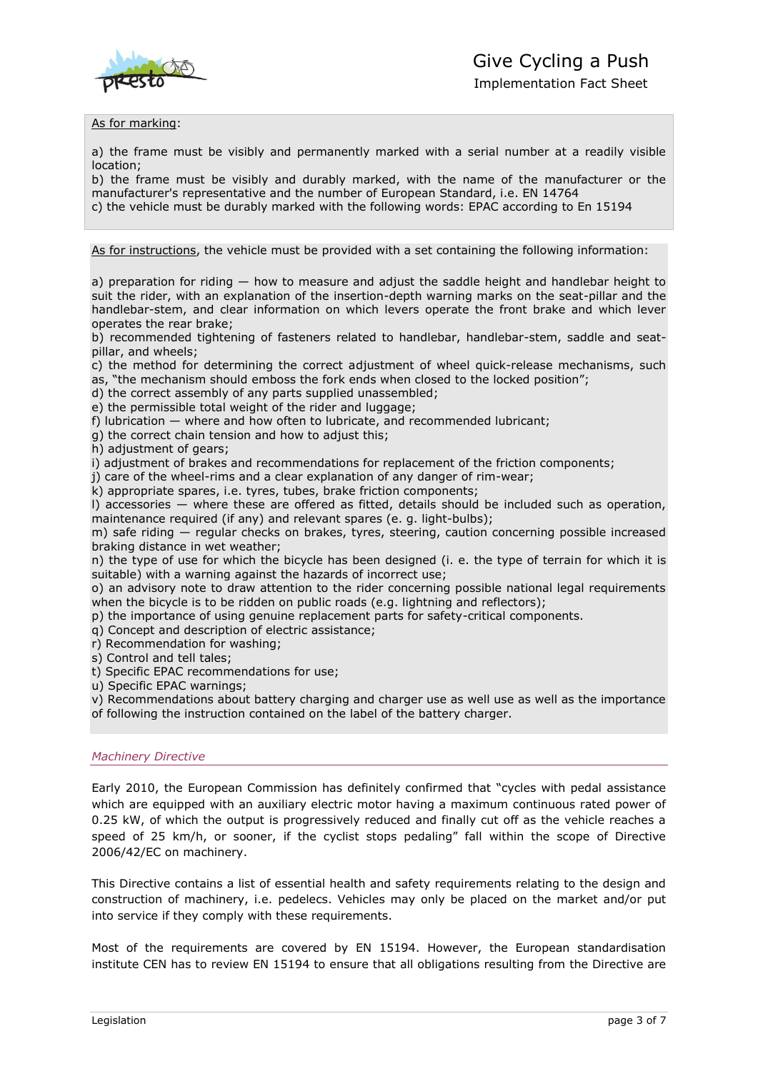

Implementation Fact Sheet

### As for marking:

a) the frame must be visibly and permanently marked with a serial number at a readily visible location;

b) the frame must be visibly and durably marked, with the name of the manufacturer or the manufacturer's representative and the number of European Standard, i.e. EN 14764

c) the vehicle must be durably marked with the following words: EPAC according to En 15194

As for instructions, the vehicle must be provided with a set containing the following information:

a) preparation for riding  $-$  how to measure and adjust the saddle height and handlebar height to suit the rider, with an explanation of the insertion-depth warning marks on the seat-pillar and the handlebar-stem, and clear information on which levers operate the front brake and which lever operates the rear brake;

b) recommended tightening of fasteners related to handlebar, handlebar-stem, saddle and seatpillar, and wheels;

c) the method for determining the correct adjustment of wheel quick-release mechanisms, such as, "the mechanism should emboss the fork ends when closed to the locked position";

d) the correct assembly of any parts supplied unassembled;

e) the permissible total weight of the rider and luggage;

f) lubrication — where and how often to lubricate, and recommended lubricant;

g) the correct chain tension and how to adjust this;

h) adjustment of gears;

i) adjustment of brakes and recommendations for replacement of the friction components;

j) care of the wheel-rims and a clear explanation of any danger of rim-wear;

k) appropriate spares, i.e. tyres, tubes, brake friction components;

l) accessories — where these are offered as fitted, details should be included such as operation, maintenance required (if any) and relevant spares (e. g. light-bulbs);

m) safe riding — regular checks on brakes, tyres, steering, caution concerning possible increased braking distance in wet weather;

n) the type of use for which the bicycle has been designed (i. e. the type of terrain for which it is suitable) with a warning against the hazards of incorrect use;

o) an advisory note to draw attention to the rider concerning possible national legal requirements when the bicycle is to be ridden on public roads (e.g. lightning and reflectors);

p) the importance of using genuine replacement parts for safety-critical components.

q) Concept and description of electric assistance;

r) Recommendation for washing;

s) Control and tell tales;

t) Specific EPAC recommendations for use;

u) Specific EPAC warnings;

v) Recommendations about battery charging and charger use as well use as well as the importance of following the instruction contained on the label of the battery charger.

### *Machinery Directive*

Early 2010, the European Commission has definitely confirmed that "cycles with pedal assistance which are equipped with an auxiliary electric motor having a maximum continuous rated power of 0.25 kW, of which the output is progressively reduced and finally cut off as the vehicle reaches a speed of 25 km/h, or sooner, if the cyclist stops pedaling" fall within the scope of Directive 2006/42/EC on machinery.

This Directive contains a list of essential health and safety requirements relating to the design and construction of machinery, i.e. pedelecs. Vehicles may only be placed on the market and/or put into service if they comply with these requirements.

Most of the requirements are covered by EN 15194. However, the European standardisation institute CEN has to review EN 15194 to ensure that all obligations resulting from the Directive are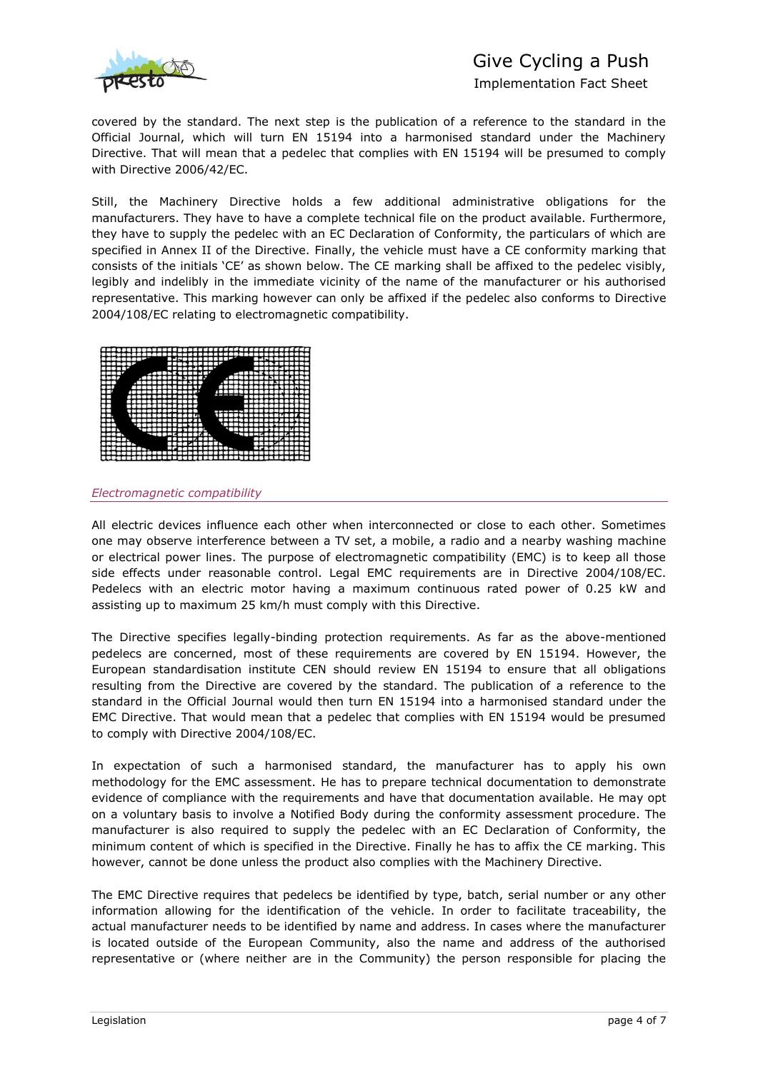

# Give Cycling a Push

Implementation Fact Sheet

covered by the standard. The next step is the publication of a reference to the standard in the Official Journal, which will turn EN 15194 into a harmonised standard under the Machinery Directive. That will mean that a pedelec that complies with EN 15194 will be presumed to comply with Directive 2006/42/EC.

Still, the Machinery Directive holds a few additional administrative obligations for the manufacturers. They have to have a complete technical file on the product available. Furthermore, they have to supply the pedelec with an EC Declaration of Conformity, the particulars of which are specified in Annex II of the Directive. Finally, the vehicle must have a CE conformity marking that consists of the initials 'CE' as shown below. The CE marking shall be affixed to the pedelec visibly, legibly and indelibly in the immediate vicinity of the name of the manufacturer or his authorised representative. This marking however can only be affixed if the pedelec also conforms to Directive 2004/108/EC relating to electromagnetic compatibility.



#### *Electromagnetic compatibility*

All electric devices influence each other when interconnected or close to each other. Sometimes one may observe interference between a TV set, a mobile, a radio and a nearby washing machine or electrical power lines. The purpose of electromagnetic compatibility (EMC) is to keep all those side effects under reasonable control. Legal EMC requirements are in Directive 2004/108/EC. Pedelecs with an electric motor having a maximum continuous rated power of 0.25 kW and assisting up to maximum 25 km/h must comply with this Directive.

The Directive specifies legally-binding protection requirements. As far as the above-mentioned pedelecs are concerned, most of these requirements are covered by EN 15194. However, the European standardisation institute CEN should review EN 15194 to ensure that all obligations resulting from the Directive are covered by the standard. The publication of a reference to the standard in the Official Journal would then turn EN 15194 into a harmonised standard under the EMC Directive. That would mean that a pedelec that complies with EN 15194 would be presumed to comply with Directive 2004/108/EC.

In expectation of such a harmonised standard, the manufacturer has to apply his own methodology for the EMC assessment. He has to prepare technical documentation to demonstrate evidence of compliance with the requirements and have that documentation available. He may opt on a voluntary basis to involve a Notified Body during the conformity assessment procedure. The manufacturer is also required to supply the pedelec with an EC Declaration of Conformity, the minimum content of which is specified in the Directive. Finally he has to affix the CE marking. This however, cannot be done unless the product also complies with the Machinery Directive.

The EMC Directive requires that pedelecs be identified by type, batch, serial number or any other information allowing for the identification of the vehicle. In order to facilitate traceability, the actual manufacturer needs to be identified by name and address. In cases where the manufacturer is located outside of the European Community, also the name and address of the authorised representative or (where neither are in the Community) the person responsible for placing the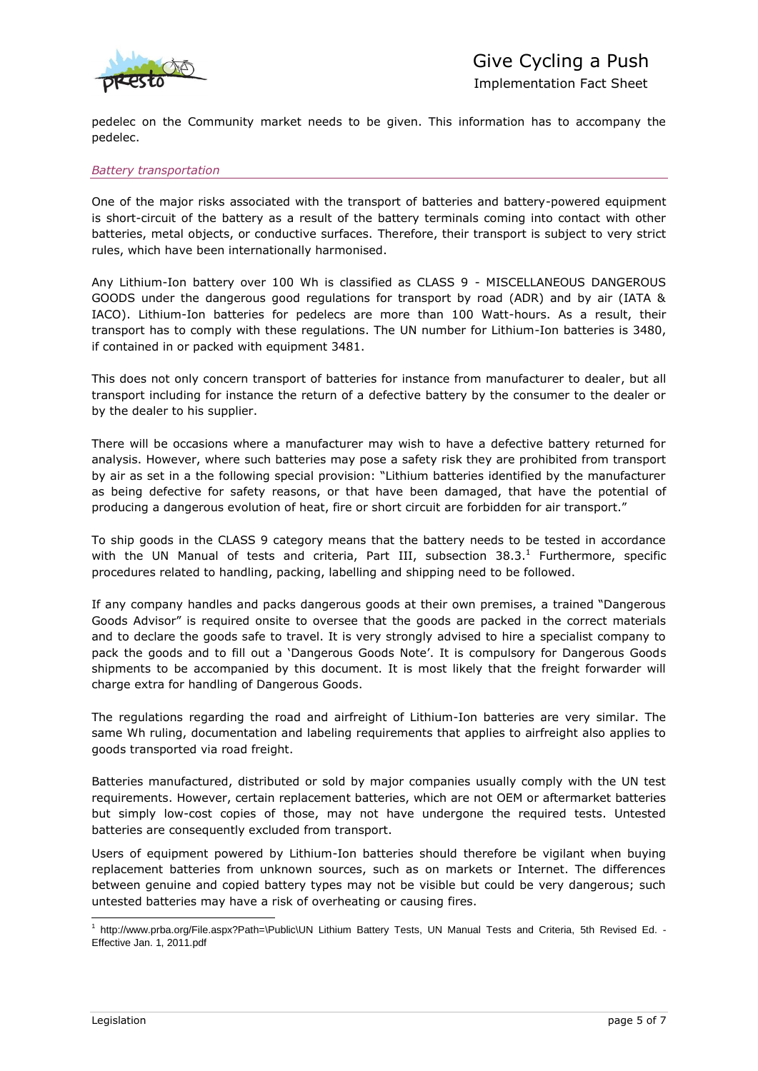

pedelec on the Community market needs to be given. This information has to accompany the pedelec.

### *Battery transportation*

One of the major risks associated with the transport of batteries and battery-powered equipment is short-circuit of the battery as a result of the battery terminals coming into contact with other batteries, metal objects, or conductive surfaces. Therefore, their transport is subject to very strict rules, which have been internationally harmonised.

Any Lithium-Ion battery over 100 Wh is classified as CLASS 9 - MISCELLANEOUS DANGEROUS GOODS under the dangerous good regulations for transport by road (ADR) and by air (IATA & IACO). Lithium-Ion batteries for pedelecs are more than 100 Watt-hours. As a result, their transport has to comply with these regulations. The UN number for Lithium-Ion batteries is 3480, if contained in or packed with equipment 3481.

This does not only concern transport of batteries for instance from manufacturer to dealer, but all transport including for instance the return of a defective battery by the consumer to the dealer or by the dealer to his supplier.

There will be occasions where a manufacturer may wish to have a defective battery returned for analysis. However, where such batteries may pose a safety risk they are prohibited from transport by air as set in a the following special provision: "Lithium batteries identified by the manufacturer as being defective for safety reasons, or that have been damaged, that have the potential of producing a dangerous evolution of heat, fire or short circuit are forbidden for air transport."

To ship goods in the CLASS 9 category means that the battery needs to be tested in accordance with the UN Manual of tests and criteria, Part III, subsection  $38.3$ .<sup>1</sup> Furthermore, specific procedures related to handling, packing, labelling and shipping need to be followed.

If any company handles and packs dangerous goods at their own premises, a trained "Dangerous Goods Advisor" is required onsite to oversee that the goods are packed in the correct materials and to declare the goods safe to travel. It is very strongly advised to hire a specialist company to pack the goods and to fill out a 'Dangerous Goods Note'. It is compulsory for Dangerous Goods shipments to be accompanied by this document. It is most likely that the freight forwarder will charge extra for handling of Dangerous Goods.

The regulations regarding the road and airfreight of Lithium-Ion batteries are very similar. The same Wh ruling, documentation and labeling requirements that applies to airfreight also applies to goods transported via road freight.

Batteries manufactured, distributed or sold by major companies usually comply with the UN test requirements. However, certain replacement batteries, which are not OEM or aftermarket batteries but simply low-cost copies of those, may not have undergone the required tests. Untested batteries are consequently excluded from transport.

Users of equipment powered by Lithium-Ion batteries should therefore be vigilant when buying replacement batteries from unknown sources, such as on markets or Internet. The differences between genuine and copied battery types may not be visible but could be very dangerous; such untested batteries may have a risk of overheating or causing fires.

 1 http://www.prba.org/File.aspx?Path=\Public\UN Lithium Battery Tests, UN Manual Tests and Criteria, 5th Revised Ed. - Effective Jan. 1, 2011.pdf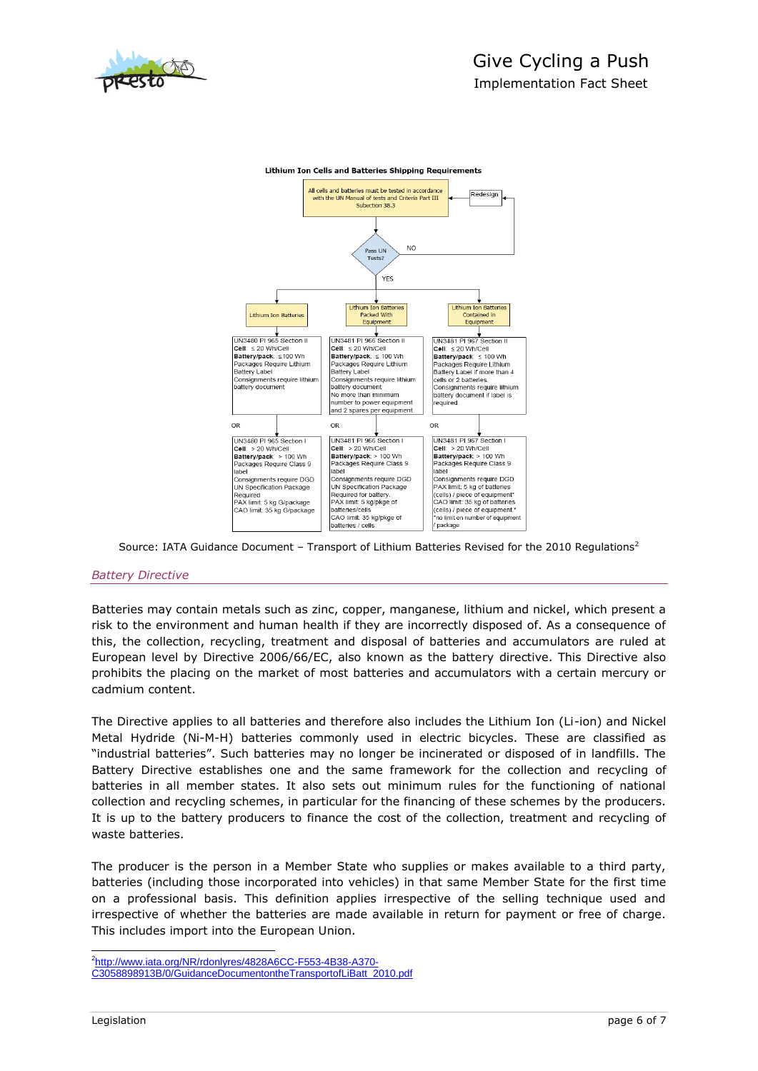



**Lithium Ion Cells and Batteries Shipping Requirements** 

Source: IATA Guidance Document – Transport of Lithium Batteries Revised for the 2010 Regulations<sup>2</sup>

### *Battery Directive*

Batteries may contain metals such as zinc, copper, manganese, lithium and nickel, which present a risk to the environment and human health if they are incorrectly disposed of. As a consequence of this, the collection, recycling, treatment and disposal of batteries and accumulators are ruled at European level by Directive 2006/66/EC, also known as the battery directive. This Directive also prohibits the placing on the market of most batteries and accumulators with a certain mercury or cadmium content.

The Directive applies to all batteries and therefore also includes the Lithium Ion (Li-ion) and Nickel Metal Hydride (Ni-M-H) batteries commonly used in electric bicycles. These are classified as ―industrial batteries‖. Such batteries may no longer be incinerated or disposed of in landfills. The Battery Directive establishes one and the same framework for the collection and recycling of batteries in all member states. It also sets out minimum rules for the functioning of national collection and recycling schemes, in particular for the financing of these schemes by the producers. It is up to the battery producers to finance the cost of the collection, treatment and recycling of waste batteries.

The producer is the person in a Member State who supplies or makes available to a third party, batteries (including those incorporated into vehicles) in that same Member State for the first time on a professional basis. This definition applies irrespective of the selling technique used and irrespective of whether the batteries are made available in return for payment or free of charge. This includes import into the European Union.

 2 [http://www.iata.org/NR/rdonlyres/4828A6CC-F553-4B38-A370-](http://www.iata.org/NR/rdonlyres/4828A6CC-F553-4B38-A370-C3058898913B/0/GuidanceDocumentontheTransportofLiBatt_2010.pdf) [C3058898913B/0/GuidanceDocumentontheTransportofLiBatt\\_2010.pdf](http://www.iata.org/NR/rdonlyres/4828A6CC-F553-4B38-A370-C3058898913B/0/GuidanceDocumentontheTransportofLiBatt_2010.pdf)